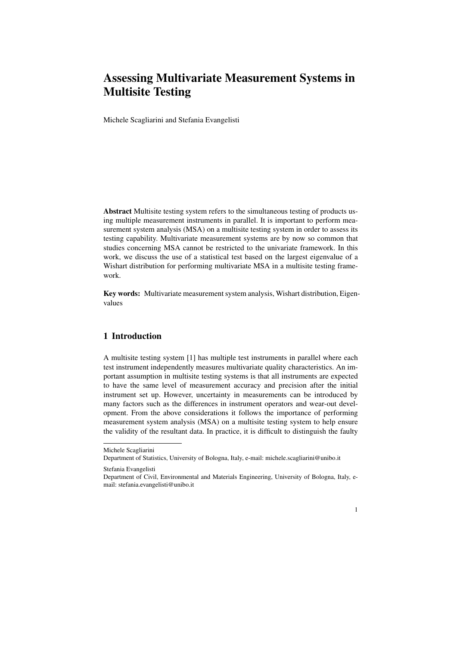# Assessing Multivariate Measurement Systems in Multisite Testing

Michele Scagliarini and Stefania Evangelisti

Abstract Multisite testing system refers to the simultaneous testing of products using multiple measurement instruments in parallel. It is important to perform measurement system analysis (MSA) on a multisite testing system in order to assess its testing capability. Multivariate measurement systems are by now so common that studies concerning MSA cannot be restricted to the univariate framework. In this work, we discuss the use of a statistical test based on the largest eigenvalue of a Wishart distribution for performing multivariate MSA in a multisite testing framework.

Key words: Multivariate measurement system analysis, Wishart distribution, Eigenvalues

# 1 Introduction

A multisite testing system [1] has multiple test instruments in parallel where each test instrument independently measures multivariate quality characteristics. An important assumption in multisite testing systems is that all instruments are expected to have the same level of measurement accuracy and precision after the initial instrument set up. However, uncertainty in measurements can be introduced by many factors such as the differences in instrument operators and wear-out development. From the above considerations it follows the importance of performing measurement system analysis (MSA) on a multisite testing system to help ensure the validity of the resultant data. In practice, it is difficult to distinguish the faulty

Department of Civil, Environmental and Materials Engineering, University of Bologna, Italy, email: stefania.evangelisti@unibo.it



Michele Scagliarini

Department of Statistics, University of Bologna, Italy, e-mail: michele.scagliarini@unibo.it

Stefania Evangelisti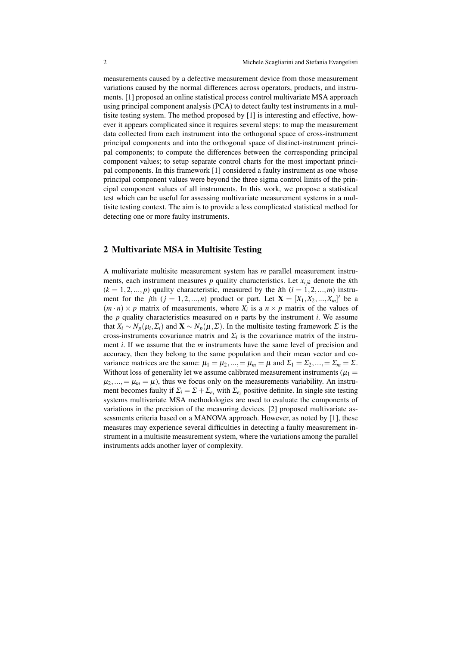measurements caused by a defective measurement device from those measurement variations caused by the normal differences across operators, products, and instruments. [1] proposed an online statistical process control multivariate MSA approach using principal component analysis (PCA) to detect faulty test instruments in a multisite testing system. The method proposed by [1] is interesting and effective, however it appears complicated since it requires several steps: to map the measurement data collected from each instrument into the orthogonal space of cross-instrument principal components and into the orthogonal space of distinct-instrument principal components; to compute the differences between the corresponding principal component values; to setup separate control charts for the most important principal components. In this framework [1] considered a faulty instrument as one whose principal component values were beyond the three sigma control limits of the principal component values of all instruments. In this work, we propose a statistical test which can be useful for assessing multivariate measurement systems in a multisite testing context. The aim is to provide a less complicated statistical method for detecting one or more faulty instruments.

### 2 Multivariate MSA in Multisite Testing

A multivariate multisite measurement system has *m* parallel measurement instruments, each instrument measures  $p$  quality characteristics. Let  $x_{ijk}$  denote the  $k$ th  $(k = 1, 2, \ldots, p)$  quality characteristic, measured by the *i*th  $(i = 1, 2, \ldots, m)$  instrument for the *j*th  $(j = 1, 2, ..., n)$  product or part. Let  $\mathbf{X} = [X_1, X_2, ..., X_m]'$  be a  $(m \cdot n) \times p$  matrix of measurements, where  $X_i$  is a  $n \times p$  matrix of the values of the *p* quality characteristics measured on *n* parts by the instrument *i*. We assume that  $X_i \sim N_p(\mu_i, \Sigma_i)$  and  $\mathbf{X} \sim N_p(\mu, \Sigma)$ . In the multisite testing framework  $\Sigma$  is the cross-instruments covariance matrix and  $\Sigma_i$  is the covariance matrix of the instrument *i*. If we assume that the *m* instruments have the same level of precision and accuracy, then they belong to the same population and their mean vector and covariance matrices are the same:  $\mu_1 = \mu_2, ..., = \mu_m = \mu$  and  $\Sigma_1 = \Sigma_2, ..., = \Sigma_m = \Sigma$ . Without loss of generality let we assume calibrated measurement instruments ( $\mu_1$  =  $\mu_2, \ldots, = \mu_m = \mu$ ), thus we focus only on the measurements variability. An instrument becomes faulty if  $\Sigma_i = \Sigma + \Sigma_{e_i}$  with  $\Sigma_{e_i}$  positive definite. In single site testing systems multivariate MSA methodologies are used to evaluate the components of variations in the precision of the measuring devices. [2] proposed multivariate assessments criteria based on a MANOVA approach. However, as noted by [1], these measures may experience several difficulties in detecting a faulty measurement instrument in a multisite measurement system, where the variations among the parallel instruments adds another layer of complexity.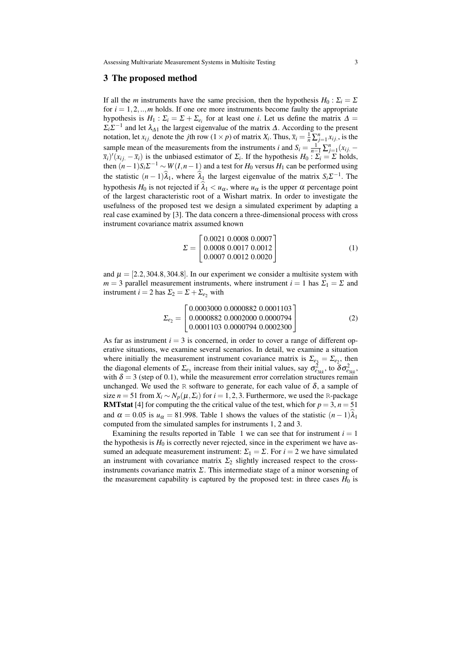Assessing Multivariate Measurement Systems in Multisite Testing 3

#### 3 The proposed method

If all the *m* instruments have the same precision, then the hypothesis  $H_0: \Sigma_i = \Sigma$ for  $i = 1, 2, \ldots, m$  holds. If one ore more instruments become faulty the appropriate hypothesis is  $H_1$ :  $\Sigma_i = \Sigma + \Sigma_{e_i}$  for at least one *i*. Let us define the matrix  $\Delta =$  $\sum_i \sum_i$  and let  $\lambda_{\Delta 1}$  the largest eigenvalue of the matrix  $\Delta$ . According to the present notation, let  $x_{ij}$ , denote the *j*th row  $(1 \times p)$  of matrix  $X_i$ . Thus,  $\bar{x}_i = \frac{1}{n} \sum_{j=1}^n x_{ij}$ , is the sample mean of the measurements from the instruments *i* and  $S_i = \frac{1}{n-1} \sum_{j=1}^n (x_{ij} - \frac{1}{n})$  $(\bar{x}_i)'(x_i - \bar{x}_i)$  is the unbiased estimator of  $\Sigma_i$ . If the hypothesis  $H_0: \Sigma_i = \Sigma$  holds, then  $(n-1)S_i\Sigma^{-1} \sim W(I, n-1)$  and a test for  $H_0$  versus  $H_1$  can be performed using the statistic  $(n-1)\lambda_1$ , where  $\lambda_1$  the largest eigenvalue of the matrix  $S_i \Sigma^{-1}$ . The hypothesis  $H_0$  is not rejected if  $\lambda_1 < u_\alpha$ , where  $u_\alpha$  is the upper  $\alpha$  percentage point of the largest characteristic root of a Wishart matrix. In order to investigate the usefulness of the proposed test we design a simulated experiment by adapting a real case examined by [3]. The data concern a three-dimensional process with cross instrument covariance matrix assumed known

$$
\Sigma = \begin{bmatrix} 0.0021 & 0.0008 & 0.0007 \\ 0.0008 & 0.0017 & 0.0012 \\ 0.0007 & 0.0012 & 0.0020 \end{bmatrix}
$$
 (1)

and  $\mu = [2.2, 304.8, 304.8]$ . In our experiment we consider a multisite system with  $m = 3$  parallel measurement instruments, where instrument  $i = 1$  has  $\Sigma_1 = \Sigma$  and instrument *i* = 2 has  $\Sigma_2 = \Sigma + \Sigma_{e_2}$  with

$$
\Sigma_{e_2} = \begin{bmatrix} 0.0003000 & 0.0000882 & 0.0001103 \\ 0.0000882 & 0.0002000 & 0.0000794 \\ 0.0001103 & 0.0000794 & 0.0002300 \end{bmatrix}
$$
 (2)

As far as instrument  $i = 3$  is concerned, in order to cover a range of different operative situations, we examine several scenarios. In detail, we examine a situation where initially the measurement instrument covariance matrix is  $\Sigma_{e_3} = \Sigma_{e_2}$ , then the diagonal elements of  $\Sigma_{e_3}$  increase from their initial values, say  $\sigma_{e_{3kk}}^2$ , to  $\delta \sigma_{e_{3kk}}^2$ with  $\delta = 3$  (step of 0.1), while the measurement error correlation structures remain unchanged. We used the R software to generate, for each value of  $\delta$ , a sample of size *n* = 51 from  $X_i \sim N_p(\mu, \Sigma_i)$  for *i* = 1, 2, 3. Furthermore, we used the R-package **RMTstat** [4] for computing the the critical value of the test, which for  $p = 3$ ,  $n = 51$ and  $\alpha = 0.05$  is  $u_{\alpha} = 81.998$ . Table 1 shows the values of the statistic  $(n-1)\lambda_1$ computed from the simulated samples for instruments 1, 2 and 3.

Examining the results reported in Table 1 we can see that for instrument  $i = 1$ the hypothesis is  $H_0$  is correctly never rejected, since in the experiment we have assumed an adequate measurement instrument:  $\Sigma_1 = \Sigma$ . For  $i = 2$  we have simulated an instrument with covariance matrix  $\Sigma_2$  slightly increased respect to the crossinstruments covariance matrix  $\Sigma$ . This intermediate stage of a minor worsening of the measurement capability is captured by the proposed test: in three cases  $H_0$  is